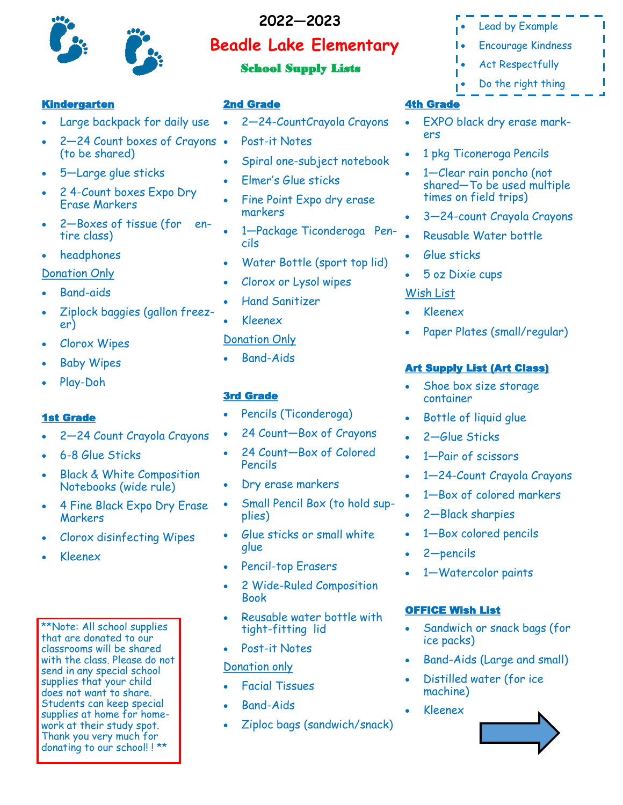

# **Beadle Lake Elementary 2022—2023**

# School Supply Lists

#### Kindergarten

- Large backpack for daily use
- 2—24 Count boxes of Crayons (to be shared)
- 5-Large glue sticks
- 2 4-Count boxes Expo Dry Erase Markers
- 2—Boxes of tissue (for entire class)
- headphones

### Donation Only

- Band-aids
- Ziplock baggies (gallon freezer)
- Clorox Wipes
- **Baby Wipes**
- Play-Doh

## 1st Grade

- 2—24 Count Crayola Crayons
- 6-8 Glue Sticks
- Black & White Composition Notebooks (wide rule)
- 4 Fine Black Expo Dry Erase Markers
- Clorox disinfecting Wipes
- Kleenex

\*\*Note: All school supplies that are donated to our classrooms will be shared with the class. Please do not send in any special school supplies that your child does not want to share. Students can keep special supplies at home for homework at their study spot. Thank you very much for donating to our school! ! \*\*

### 2nd Grade

- 2—24-CountCrayola Crayons
- Post-it Notes
- Spiral one-subject notebook
- Elmer's Glue sticks
- Fine Point Expo dry erase markers
- 1—Package Ticonderoga Pencils
- Water Bottle (sport top lid)
- Clorox or Lysol wipes
- Hand Sanitizer
- Kleenex

## Donation Only

Band-Aids

### 3rd Grade

- Pencils (Ticonderoga)
- 24 Count—Box of Crayons
- 24 Count—Box of Colored Pencils
- Dry erase markers
- Small Pencil Box (to hold supplies)
- Glue sticks or small white glue
- Pencil-top Erasers
- 2 Wide-Ruled Composition Book
- Reusable water bottle with tight-fitting lid
- Post-it Notes

## Donation only

- Facial Tissues
- Band-Aids
- Ziploc bags (sandwich/snack)
- Lead by Example
- Encourage Kindness
	- Act Respectfully
- Do the right thing

# 4th Grade

- EXPO black dry erase markers
- 1 pkg Ticoneroga Pencils
- 1-Clear rain poncho (not shared—To be used multiple times on field trips)
- 3—24-count Crayola Crayons
- Reusable Water bottle
- Glue sticks
- 5 oz Dixie cups

# Wish List

- Kleenex
- Paper Plates (small/regular)

# Art Supply List (Art Class)

- Shoe box size storage container
- Bottle of liquid glue
- 2—Glue Sticks
- 1-Pair of scissors
- 1—24-Count Crayola Crayons
- 1—Box of colored markers
- 2—Black sharpies
- 1-Box colored pencils
- 2—pencils
- 1-Watercolor paints

# OFFICE Wish List

- Sandwich or snack bags (for ice packs)
- Band-Aids (Large and small)
- Distilled water (for ice machine)
- Kleenex